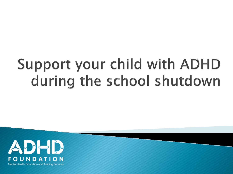# **Support your child with ADHD** during the school shutdown

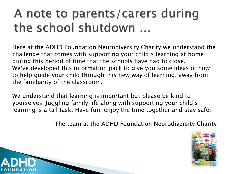#### A note to parents/carers during the school shutdown ...

Here at the ADHD Foundation Neurodiversity Charity we understand the challenge that comes with supporting your child's learning at home during this period of time that the schools have had to close. We've developed this information pack to give you some ideas of how to help guide your child through this new way of learning, away from the familiarity of the classroom.

We understand that learning is important but please be kind to yourselves. Juggling family life along with supporting your child's learning is a tall task. Have fun, enjoy the time together and stay safe.

The team at the ADHD Foundation Neurodiversity Charity



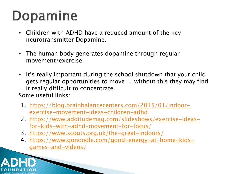# Dopamine

- Children with ADHD have a reduced amount of the key neurotransmitter Dopamine.
- The human body generates dopamine through regular movement/exercise.
- It's really important during the school shutdown that your child gets regular opportunities to move … without this they may find it really difficult to concentrate. Some useful links:
- 1. [https://blog.brainbalancecenters.com/2015/01/indoor](https://blog.brainbalancecenters.com/2015/01/indoor-exercise-movement-ideas-children-adhd)[exercise-movement-ideas-children-adhd](https://blog.brainbalancecenters.com/2015/01/indoor-exercise-movement-ideas-children-adhd)
- 2. [https://www.additudemag.com/slideshows/exercise-ideas](https://www.additudemag.com/slideshows/exercise-ideas-for-kids-with-adhd-movement-for-focus/)[for-kids-with-adhd-movement-for-focus/](https://www.additudemag.com/slideshows/exercise-ideas-for-kids-with-adhd-movement-for-focus/)
- 3. <https://www.scouts.org.uk/the-great-indoors/>
- 4. [https://www.gonoodle.com/good-energy-at-home-kids](https://www.gonoodle.com/good-energy-at-home-kids-games-and-videos/)[games-and-videos/](https://www.gonoodle.com/good-energy-at-home-kids-games-and-videos/)

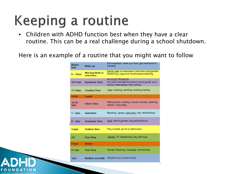# **Keeping a routine**

• Children with ADHD function best when they have a clear routine. This can be a real challenge during a school shutdown.

Here is an example of a routine that you might want to follow

| <b>Refore</b><br>9am | Wake up                             | Est breakfast, make your bed, get washed and<br>dressed.                                                 |
|----------------------|-------------------------------------|----------------------------------------------------------------------------------------------------------|
| $9 - 10am$           | <b>Morning Walk or</b><br>exercises | Family walk or exercises in the back yard/garden.<br>Stretching, yoga and mindfulness breathing.         |
| $10-11am$            | <b>Academic Time</b>                | NO FLECTRONICS!<br>Any work provided by school, study guide, quiz<br>books, times tables, story writing. |
| 11-12pm              | <b>Creative Time</b>                | Lego, drawing, painting, cooking, baking.                                                                |
| 12:00                | Lunch                               |                                                                                                          |
| $12:30 -$<br>1pm     | <b>Chore Time</b>                   | Wiping down, dusting, hoover, laundry, washing<br>dishes. Toys away.                                     |
| $1 - 2pm$            | <b>Quiettime</b>                    | Reading, Jigsaw, colouring, nap. Mindfulness                                                             |
| $2 - 3$ pm           | <b>Academic Time</b>                | lpad, math's games, educational show                                                                     |
| $3-4$ pm             | <b>Outdoor time</b>                 | Play outside, go for a walk/snack                                                                        |
| $4 - 5$              | <b>Free Time</b>                    | games, TV, electronics, play with toys.                                                                  |
| $5-6$ pm             | <b>Dinner</b>                       |                                                                                                          |
| $6-7$ :pm            | <b>Free Time</b>                    | Games, Reading, massage, mindfulness                                                                     |
| 7pm-                 | <b>Bedtime and bath</b>             | Adjust to your usual routine                                                                             |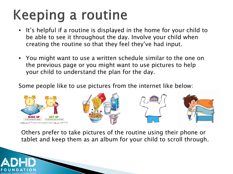# **Keeping a routine**

- It's helpful if a routine is displayed in the home for your child to be able to see it throughout the day. Involve your child when creating the routine so that they feel they've had input.
- You might want to use a written schedule similar to the one on the previous page or you might want to use pictures to help your child to understand the plan for the day.

Some people like to use pictures from the internet like below:



Others prefer to take pictures of the routine using their phone or tablet and keep them as an album for your child to scroll through.

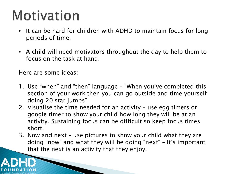# **Motivation**

- It can be hard for children with ADHD to maintain focus for long periods of time.
- A child will need motivators throughout the day to help them to focus on the task at hand.

Here are some ideas:

- 1. Use "when" and "then" language "When you've completed this section of your work then you can go outside and time yourself doing 20 star jumps"
- 2. Visualise the time needed for an activity use egg timers or google timer to show your child how long they will be at an activity. Sustaining focus can be difficult so keep focus times short.
- 3. Now and next use pictures to show your child what they are doing "now" and what they will be doing "next" – It's important that the next is an activity that they enjoy.

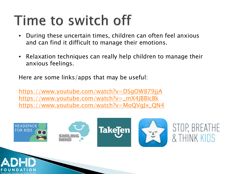### Time to switch off

- During these uncertain times, children can often feel anxious and can find it difficult to manage their emotions.
- Relaxation techniques can really help children to manage their anxious feelings.

Here are some links/apps that may be useful:

<https://www.youtube.com/watch?v=DSgOW879jjA> [https://www.youtube.com/watch?v=\\_mX4JBBIcBk](https://www.youtube.com/watch?v=_mX4JBBIcBk) [https://www.youtube.com/watch?v=MoQVgJx\\_QN4](https://www.youtube.com/watch?v=MoQVgJx_QN4)